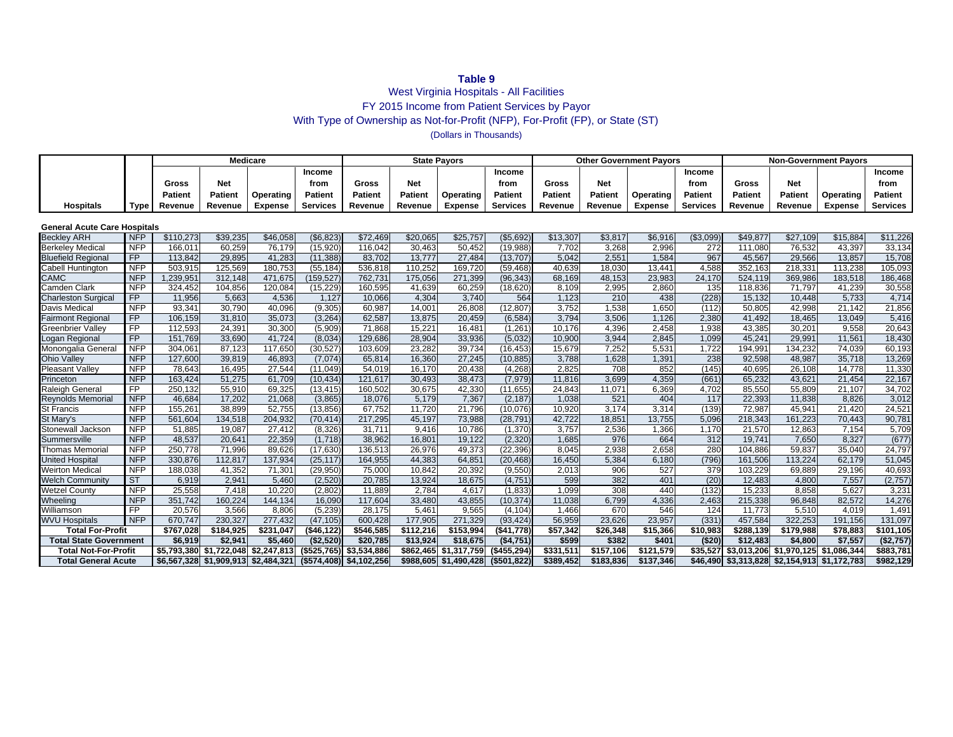# **Table 9**

## West Virginia Hospitals - All Facilities FY 2015 Income from Patient Services by Payor With Type of Ownership as Not-for-Profit (NFP), For-Profit (FP), or State (ST) (Dollars in Thousands)

|                                     |                 |                | <b>Medicare</b> |                                     |                 |                         | <b>State Payors</b> |                       |                 |                |                | <b>Other Government Payors</b> |                 | <b>Non-Government Payors</b> |                                              |                |                 |  |
|-------------------------------------|-----------------|----------------|-----------------|-------------------------------------|-----------------|-------------------------|---------------------|-----------------------|-----------------|----------------|----------------|--------------------------------|-----------------|------------------------------|----------------------------------------------|----------------|-----------------|--|
|                                     |                 |                |                 |                                     | Income          |                         |                     |                       | Income          |                |                |                                | Income          |                              |                                              |                | Income          |  |
|                                     |                 | Gross          | <b>Net</b>      |                                     | from            | Gross                   | <b>Net</b>          |                       | from            | Gross          | <b>Net</b>     |                                | from            | Gross                        | <b>Net</b>                                   |                | from            |  |
|                                     |                 | <b>Patient</b> | Patient         | Operating                           | <b>Patient</b>  | <b>Patient</b>          | <b>Patient</b>      | Operating             | <b>Patient</b>  | <b>Patient</b> | <b>Patient</b> | Operating                      | <b>Patient</b>  | <b>Patient</b>               | <b>Patient</b>                               | Operating      | <b>Patient</b>  |  |
| Hospitals                           | <b>Type</b>     | Revenue        | Revenue         | <b>Expense</b>                      | <b>Services</b> | Revenue                 | Revenue             | <b>Expense</b>        | <b>Services</b> | Revenue        | Revenue        | <b>Expense</b>                 | <b>Services</b> | Revenue                      | Revenue                                      | <b>Expense</b> | <b>Services</b> |  |
|                                     |                 |                |                 |                                     |                 |                         |                     |                       |                 |                |                |                                |                 |                              |                                              |                |                 |  |
| <b>General Acute Care Hospitals</b> |                 |                |                 |                                     |                 |                         |                     |                       |                 |                |                |                                |                 |                              |                                              |                |                 |  |
| <b>Beckley ARH</b>                  | <b>NFP</b>      | \$110,273      | \$39,235        | \$46,058                            | (\$6,823        | \$72,469                | \$20,065            | \$25,757              | (\$5,692        | \$13,307       | \$3,817        | \$6,916                        | (\$3,099        | \$49,877                     | \$27,109                                     | \$15,884       | \$11,226        |  |
| <b>Berkeley Medical</b>             | <b>NFP</b>      | 166.011        | 60,259          | 76,179                              | (15.920)        | 116.042                 | 30,463              | 50,452                | (19,988)        | 7,702          | 3,268          | 2,996                          | 272             | 111,080                      | 76,532                                       | 43.397         | 33,134          |  |
| <b>Bluefield Regional</b>           | FP              | 113,842        | 29,895          | 41,283                              | (11, 388)       | 83,702                  | 13,777              | 27,484                | (13, 707)       | 5,042          | 2,551          | 1,584                          | 967             | 45,567                       | 29,566                                       | 13,857         | 15,708          |  |
| Cabell Huntington                   | <b>NFP</b>      | 503,915        | 125,569         | 180,753                             | (55, 184)       | 536,818                 | 110,252             | 169,720               | (59, 468)       | 40,639         | 18,030         | 13,441                         | 4,588           | 352,163                      | 218,331                                      | 113,238        | 105,093         |  |
| <b>CAMC</b>                         | <b>NFP</b>      | 1,239,951      | 312,148         | 471,675                             | (159, 527)      | 762,731                 | 175,056             | 271,399               | (96, 343)       | 68,169         | 48,153         | 23,983                         | 24,170          | 524,119                      | 369,986                                      | 183,518        | 186,468         |  |
| <b>Camden Clark</b>                 | <b>NFP</b>      | 324,452        | 104,856         | 120,084                             | (15, 229)       | 160,595                 | 41,639              | 60,259                | (18, 620)       | 8,109          | 2,995          | 2,860                          | 135             | 118,836                      | 71,797                                       | 41,239         | 30,558          |  |
| <b>Charleston Surgical</b>          | $\overline{FP}$ | 11,956         | 5,663           | 4,536                               | 1,127           | 10,066                  | 4,304               | 3,740                 | 564             | 1,123          | 210            | 438                            | (228)           | 15,132                       | 10,448                                       | 5,733          | 4,714           |  |
| Davis Medical                       | <b>NFP</b>      | 93.341         | 30.790          | 40,096                              | (9, 305)        | 60.987                  | 14,001              | 26.808                | (12.807)        | 3,752          | 1,538          | 1,650                          | (112)           | 50,805                       | 42.998                                       | 21.142         | 21,856          |  |
| <b>Fairmont Regional</b>            | FP              | 106,159        | 31,810          | 35,073                              | (3, 264)        | 62,587                  | 13,875              | 20,459                | (6, 584)        | 3,794          | 3,506          | 1,126                          | 2,380           | 41,492                       | 18,465                                       | 13,049         | 5,416           |  |
| <b>Greenbrier Valley</b>            | $\overline{FP}$ | 112,593        | 24,391          | 30,300                              | (5,909)         | 71,868                  | 15,221              | 16,481                | (1, 261)        | 10,176         | 4,396          | 2,458                          | 1,938           | 43,385                       | 30,201                                       | 9,558          | 20,643          |  |
| ogan Regional                       | FP              | 151.769        | 33,690          | 41,724                              | (8,034)         | 129,686                 | 28,904              | 33,936                | (5,032)         | 10,900         | 3,944          | 2,845                          | 1,099           | 45,241                       | 29,991                                       | 11,561         | 18,430          |  |
| Monongalia General                  | <b>NFP</b>      | 304,061        | 87,123          | 117,650                             | (30, 527)       | 103,609                 | 23,282              | 39,734                | (16, 453)       | 15,679         | 7,252          | 5,531                          | 1,722           | 194,991                      | 134,232                                      | 74,039         | 60,193          |  |
| <b>Ohio Valley</b>                  | <b>NFP</b>      | 127,600        | 39,819          | 46,893                              | (7,074)         | 65,814                  | 16,360              | 27,245                | (10, 885)       | 3,788          | 1,628          | 1,391                          | 238             | 92,598                       | 48,987                                       | 35,718         | 13,269          |  |
| <b>Pleasant Valley</b>              | <b>NFP</b>      | 78,643         | 16,495          | 27,544                              | (11,049)        | 54,019                  | 16,170              | 20,438                | (4,268)         | 2,825          | 708            | 852                            | (145)           | 40,695                       | 26,108                                       | 14,778         | 11,330          |  |
| Princeton                           | <b>NFP</b>      | 163,424        | 51,275          | 61,709                              | (10, 434)       | 121,617                 | 30,493              | 38,473                | (7, 979)        | 11,816         | 3,699          | 4,359                          | (661)           | 65,232                       | 43,621                                       | 21,454         | 22,167          |  |
| <b>Raleigh General</b>              | FP              | 250.132        | 55,910          | 69,325                              | (13, 415)       | 160,502                 | 30,675              | 42,330                | (11, 655)       | 24,843         | 11,071         | 6,369                          | 4,702           | 85,550                       | 55,809                                       | 21,107         | 34,702          |  |
| <b>Reynolds Memorial</b>            | <b>NFP</b>      | 46,684         | 17,202          | 21,068                              | (3,865)         | 18,076                  | 5,179               | 7,367                 | (2, 187)        | 1,038          | 521            | 404                            | 117             | 22,393                       | 11,838                                       | 8,826          | 3,012           |  |
| <b>St Francis</b>                   | <b>NFP</b>      | 155,26         | 38,899          | 52,755                              | (13, 856)       | 67,752                  | 11,720              | 21,796                | (10,076)        | 10,920         | 3,174          | 3,314                          | (139)           | 72,987                       | 45,941                                       | 21,420         | 24,521          |  |
| St Mary's                           | <b>NFP</b>      | 561.604        | 134,518         | 204,932                             | (70.414)        | 217,295                 | 45,197              | 73,988                | (28, 791)       | 42,722         | 18,851         | 13,755                         | 5,096           | 218,343                      | 161.223                                      | 70,443         | 90,781          |  |
| Stonewall Jackson                   | <b>NFP</b>      | 51,885         | 19,087          | 27,412                              | (8,326)         | 31,711                  | 9,416               | 10,786                | (1,370)         | 3,757          | 2,536          | 1,366                          | 1,170           | 21,570                       | 12,863                                       | 7,154          | 5,709           |  |
| Summersville                        | <b>NFP</b>      | 48,537         | 20,641          | 22,359                              | (1,718)         | 38,962                  | 16,801              | 19,122                | (2,320)         | 1,685          | 976            | 664                            | 312             | 19,741                       | 7,650                                        | 8,327          | (677)           |  |
| <b>Thomas Memorial</b>              | <b>NFP</b>      | 250,778        | 71,996          | 89,626                              | (17, 630)       | 136,513                 | 26,976              | 49,373                | (22, 396)       | 8,045          | 2,938          | 2,658                          | 280             | 104,886                      | 59,837                                       | 35,040         | 24,797          |  |
| <b>United Hospital</b>              | <b>NFP</b>      | 330,876        | 112,817         | 137,934                             | (25, 117)       | 164,955                 | 44,383              | 64,851                | (20, 468)       | 16,450         | 5,384          | 6,180                          | (796)           | 161,506                      | 113,224                                      | 62,179         | 51,045          |  |
| <b>Weirton Medical</b>              | <b>NFP</b>      | 188,038        | 41,352          | 71,301                              | (29, 950)       | 75,000                  | 10,842              | 20,392                | (9,550)         | 2,013          | 906            | 527                            | 379             | 103,229                      | 69,889                                       | 29,196         | 40,693          |  |
| <b>Welch Community</b>              | ST              | 6,919          | 2,941           | 5,460                               | (2,520)         | 20,785                  | 13,924              | 18,675                | (4,751)         | 599            | 382            | 401                            | (20)            | 12,483                       | 4,800                                        | 7,557          | (2,757)         |  |
| <b>Wetzel County</b>                | <b>NFP</b>      | 25,558         | 7,418           | 10,220                              | (2,802)         | 11.889                  | 2,784               | 4,617                 | (1,833)         | 1,099          | 308            | 440                            | (132)           | 15,233                       | 8,858                                        | 5,627          | 3,231           |  |
| Wheeling                            | <b>NFP</b>      | 351,742        | 160,224         | 144,134                             | 16,090          | 117,604                 | 33,480              | 43,855                | (10, 374)       | 11,038         | 6,799          | 4,336                          | 2,463           | 215,338                      | 96,848                                       | 82,572         | 14,276          |  |
| Williamson                          | $\overline{FP}$ | 20.576         | 3.566           | 8.806                               | (5,239)         | 28.175                  | 5.461               | 9.565                 | (4, 104)        | 1,466          | 670            | 546                            | 124             | 11.773                       | 5,510                                        | 4.019          | 1,491           |  |
| <b>WVU Hospitals</b>                | <b>NFP</b>      | 670,747        | 230,327         | 277,432                             | (47, 105)       | 600,428                 | 177,905             | 271,329               | (93, 424)       | 56,959         | 23,626         | 23,957                         | (331)           | 457,584                      | 322,253                                      | 191,156        | 131,097         |  |
| <b>Total For-Profit</b>             |                 | \$767,028      | \$184,925       | \$231,047                           | ( \$46, 122]    | \$546,585               | \$112,216           | \$153,994             | (\$41,778)      | \$57,342       | \$26,348       | \$15,366                       | \$10,983        | \$288,139                    | \$179,988                                    | \$78,883       | \$101,105       |  |
| <b>Total State Government</b>       |                 | \$6,919        | \$2,941         | \$5,460                             | (\$2,520)       | \$20,785                | \$13,924            | \$18,675              | (\$4,751)       | \$599          | \$382          | \$401                          | ( \$20]         | \$12,483                     | \$4,800                                      | \$7,557        | (\$2,757)       |  |
| <b>Total Not-For-Profit</b>         |                 |                |                 | \$5.793.380 \$1.722.048 \$2.247.813 | $($ \$525.765)  | \$3,534,886             | \$862,465           | \$1,317,759           | (\$455.294)     | \$331.511      | \$157,106      | \$121.579                      | \$35.527        |                              | \$3.013.206 \$1.970.125 \$1.086.344          |                | \$883,781       |  |
| <b>Total General Acute</b>          |                 |                |                 | \$6,567,328 \$1,909,913 \$2,484,321 |                 | (\$574,408) \$4,102,256 |                     | \$988,605 \$1,490,428 | (\$501,822)     | \$389,452      | \$183,836      | \$137,346                      |                 |                              | \$46,490 \$3,313,828 \$2,154,913 \$1,172,783 |                | \$982,129       |  |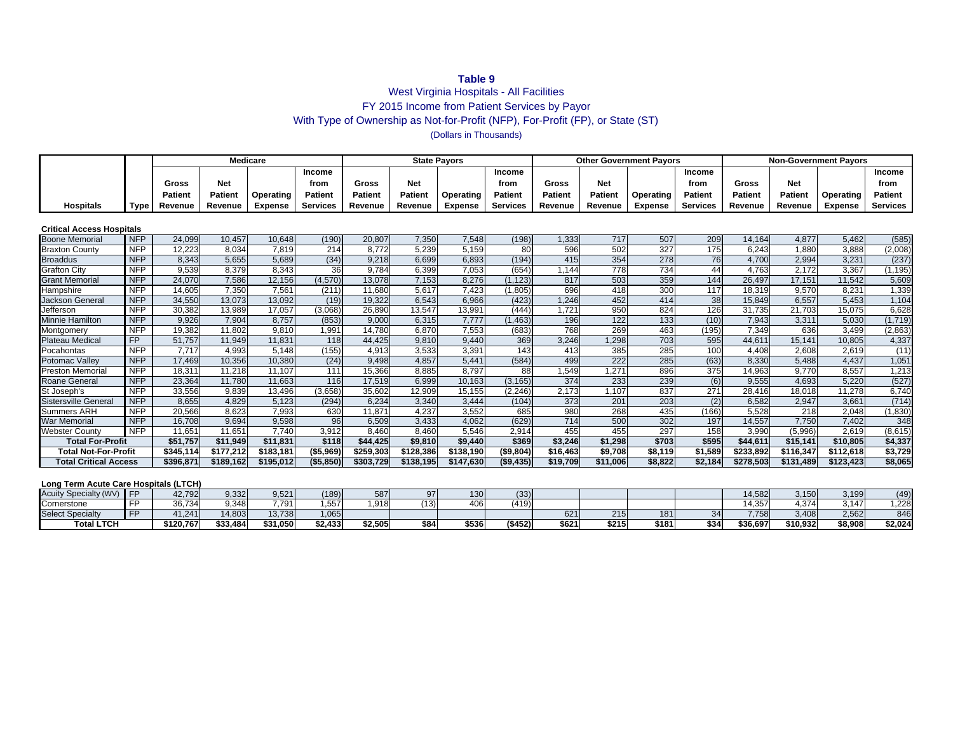#### **Table 9**

### West Virginia Hospitals - All Facilities FY 2015 Income from Patient Services by Payor With Type of Ownership as Not-for-Profit (NFP), For-Profit (FP), or State (ST) (Dollars in Thousands)

|                                  |            |                |                | <b>Medicare</b> |                 |                |            | <b>State Pavors</b>   |                 |                |            | <b>Other Government Payors</b> |                 | <b>Non-Government Payors</b> |            |                |                 |  |
|----------------------------------|------------|----------------|----------------|-----------------|-----------------|----------------|------------|-----------------------|-----------------|----------------|------------|--------------------------------|-----------------|------------------------------|------------|----------------|-----------------|--|
|                                  |            |                |                |                 | Income          |                |            |                       | <b>Income</b>   |                |            |                                | Income          |                              |            |                | Income          |  |
|                                  |            | Gross          | <b>Net</b>     |                 | from            | <b>Gross</b>   | <b>Net</b> |                       | from            | Gross          | <b>Net</b> |                                | from            | Gross                        | <b>Net</b> |                | from            |  |
|                                  |            | <b>Patient</b> | <b>Patient</b> | Operating       | <b>Patient</b>  | <b>Patient</b> | Patient    | Operating             | <b>Patient</b>  | <b>Patient</b> | Patient    | Operating                      | <b>Patient</b>  | Patient                      | Patient    | Operating      | <b>Patient</b>  |  |
| <b>Hospitals</b>                 | Type       | Revenue        | Revenue        | <b>Expense</b>  | <b>Services</b> | Revenue        | Revenue    | <b>Expense</b>        | <b>Services</b> | Revenue        | Revenue    | <b>Expense</b>                 | <b>Services</b> | Revenue                      | Revenue    | <b>Expense</b> | <b>Services</b> |  |
|                                  |            |                |                |                 |                 |                |            |                       |                 |                |            |                                |                 |                              |            |                |                 |  |
| <b>Critical Access Hospitals</b> |            |                |                |                 |                 |                |            |                       |                 |                |            |                                |                 |                              |            |                |                 |  |
| <b>Boone Memorial</b>            | <b>NFP</b> | 24,099         | 10,457         | 10,648          | (190)           | 20,807         | 7,350      | 7,548                 | (198)           | ,333           | 717        | 507                            | 209             | 14,164                       | 4,877      | 5,462          | (585)           |  |
| <b>Braxton County</b>            | <b>NFP</b> | 12.223         | 8.034          | 7.819           | 214             | 8.772          | 5.239      | 5.159                 | 80              | 596            | 502        | 327                            | 175             | 6.243                        | 1.880      | 3.888          | (2,008)         |  |
| <b>Broaddus</b>                  | <b>NFP</b> | 8,343          | 5,655          | 5,689           | (34)            | 9.218          | 6,699      | 6,893                 | (194)           | 415            | 354        | 278                            | 76              | 4,700                        | 2,994      | 3,231          | (237)           |  |
| <b>Grafton City</b>              | <b>NFP</b> | 9,539          | 8,379          | 8,343           | 36              | 9.784          | 6,399      | 7,053                 | (654)           | 1,144          | 778        | 734                            | 44              | 4,763                        | 2,172      | 3,367          | (1, 195)        |  |
| <b>Grant Memorial</b>            | <b>NFP</b> | 24,070         | 7,586          | 12,156          | (4, 570)        | 13,078         | 7,153      | 8.276                 | (1.123)         | 817            | 503        | 359                            | 144             | 26,497                       | 17,151     | 11,542         | 5,609           |  |
| Hampshire                        | <b>NFP</b> | 14.605         | 7,350          | 7,561           | (211)           | 11.680         | 5,617      | 7,423                 | (1,805)         | 696            | 418        | 300                            | 117             | 18,319                       | 9.570      | 8.231          | 1,339           |  |
| <b>Jackson General</b>           | <b>NFP</b> | 34.550         | 13.073         | 13.092          | (19)            | 19.322         | 6.543      | 6.966                 | (423)           | 1.246          | 452        | 414                            | 38              | 15,849                       | 6,557      | 5.453          | 1,104           |  |
| Jefferson                        | <b>NFP</b> | 30,382         | 13,989         | 17.057          | (3,068)         | 26,890         | 13,547     | 13,991                | (444)           | 1,721          | 950        | 824                            | 126             | 31,735                       | 21,703     | 15,075         | 6,628           |  |
| Minnie Hamilton                  | <b>NFP</b> | 9,926          | 7,904          | 8,757           | (853)           | 9,000          | 6,315      | 7,777                 | (1, 463)        | 196            | 122        | 133                            | (10)            | 7,943                        | 3,311      | 5,030          | (1,719)         |  |
| Montgomery                       | <b>NFP</b> | 19,382         | 11,802         | 9,810           | ,991            | 14,780         | 6,870      | 7,553                 | (683)           | 768            | 269        | 463                            | (195)           | 7,349                        | 636        | 3,499          | (2,863)         |  |
| Plateau Medical                  | FP         | 51,757         | 11,949         | 11,831          | 118             | 44,425         | 9,810      | 9,440                 | 369             | 3,246          | 1,298      | 703                            | 595             | 44,611                       | 15,141     | 10,805         | 4,337           |  |
| Pocahontas                       | <b>NFP</b> | 7,717          | 4,993          | 5,148           | (155)           | 4,913          | 3,533      | 3,391                 | 143             | 413            | 385        | 285                            | 100             | 4,408                        | 2,608      | 2,619          | (11)            |  |
| Potomac Valley                   | <b>NFP</b> | 17.469         | 10.356         | 10.380          | (24)            | 9.498          | 4.857      | 5.441                 | (584)           | 499            | 222        | 285                            | (63)            | 8,330                        | 5,488      | 4,437          | 1,051           |  |
| <b>Preston Memorial</b>          | <b>NFP</b> | 18,311         | 11,218         | 11.107          | 111             | 15,366         | 8,885      | 8.797                 | 88              | .549           | 1,271      | 896                            | 375             | 14,963                       | 9.770      | 8,557          | 1,213           |  |
| <b>Roane General</b>             | <b>NFP</b> | 23,364         | 11.780         | 11.663          | 116             | 17,519         | 6,999      | 10.163                | (3, 165)        | 374            | 233        | 239                            | (6)             | 9,555                        | 4,693      | 5.220          | (527)           |  |
| St Joseph's                      | <b>NFP</b> | 33,556         | 9,839          | 13,496          | (3,658)         | 35,602         | 12,909     | 15,155                | (2, 246)        | 2,173          | 1,107      | 837                            | 271             | 28,416                       | 18,018     | 11,278         | 6,740           |  |
| <b>Sistersville General</b>      | <b>NFP</b> | 8,655          | 4,829          | 5.123           | (294)           | 6,234          | 3,340      | 3,444                 | (104)           | 373            | 201        | 203                            | (2)             | 6,582                        | 2,947      | 3,661          | (714)           |  |
| <b>Summers ARH</b>               | <b>NFP</b> | 20,566         | 8,623          | 7,993           | 630             | 11.871         | 4,237      | 3,552                 | 685             | 980            | 268        | 435                            | (166)           | 5,528                        | 218        | 2,048          | (1, 830)        |  |
| War Memorial                     | <b>NFP</b> | 16.708         | 9,694          | 9,598           | 96              | 6,509          | 3,433      | 4.062                 | (629)           | 714            | 500        | 302                            | 197             | 14,557                       | 7,750      | 7,402          | 348             |  |
| <b>Webster County</b>            | <b>NFP</b> | 11.651         | 11.651         | 7.740           | 3,912           | 8.460          | 8.460      | 5.546                 | 2,914           | 455            | 455        | 297                            | 158             | 3,990                        | (5,996)    | 2.619          | (8,615)         |  |
| <b>Total For-Profit</b>          |            | \$51.757       | \$11,949       | \$11.831        | \$118           | \$44,425       | \$9,810    | \$9,440               | \$369           | \$3,246        | \$1,298    | \$703                          | \$595           | \$44,611                     | \$15,141   | \$10,805       | \$4,337         |  |
| <b>Total Not-For-Profit</b>      |            | \$345.114      | \$177.212      | \$183.181       | ( \$5,969)      | \$259,303      | \$128,386  | $\overline{$}138,190$ | (\$9,804)       | \$16,463       | \$9,708    | \$8,119                        | \$1,589         | \$233,892                    | \$116,347  | \$112,618      | \$3,729         |  |
| <b>Total Critical Access</b>     |            | \$396,871      | \$189.162      | \$195,012       | (\$5,850)       | \$303,729      | \$138,195  | \$147,630             | ( \$9,435)      | \$19,709       | \$11,006   | \$8,822                        | \$2,184         | \$278,503                    | \$131,489  | \$123,423      | \$8,065         |  |

### **Long Term Acute Care Hospitals (LTCH)**

| v Specialty (WV<br><b>\cuity</b> |              | 12,792    | 9,332    | 9,521          | (189)                | $-07$    | וכנ  | 130   | (33)     |               |       |       |      | 4,582    | 3.150           | 3,199   | (49)    |
|----------------------------------|--------------|-----------|----------|----------------|----------------------|----------|------|-------|----------|---------------|-------|-------|------|----------|-----------------|---------|---------|
| Cornerstone                      |              | 36.734    | 9,348    | 7 7 9 1<br>. 1 | ----<br>557<br>، ، ب | 1.918    | (13) | 406   | (419)    |               |       |       |      | 4.357    | 27/<br>$\cdots$ | 3.147   | .228    |
| <b>Select Specialty</b>          | $\mathbf{r}$ | 1.241     | 14,803   | 13,738         | .065                 |          |      |       |          | $\sim$<br>621 | 215   | 181   |      | 7 755    | 3,408           | 2,562   | 846     |
| <b>Total LTCH</b>                |              | \$120.767 | \$33.484 | \$31.050       | \$2.433              | $*2.505$ | €ΩA. | \$536 | ( \$452) | \$621         | \$215 | \$181 | \$34 | \$36.697 | \$10.932        | \$8,908 | \$2,024 |